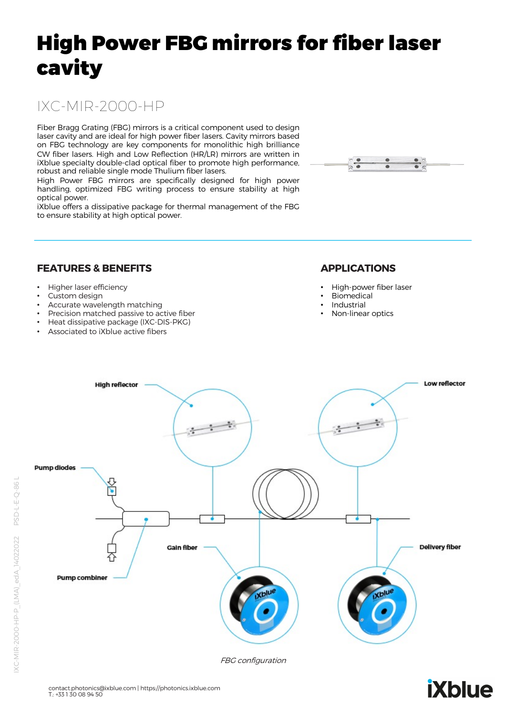# High Power FBG mirrors for fiber laser cavity

# IXC-MIR-2000-HP

Fiber Bragg Grating (FBG) mirrors is a critical component used to design laser cavity and are ideal for high power fiber lasers. Cavity mirrors based on FBG technology are key components for monolithic high brilliance CW fiber lasers. High and Low Reflection (HR/LR) mirrors are written in iXblue specialty double-clad optical fiber to promote high performance, robust and reliable single mode Thulium fiber lasers.

High Power FBG mirrors are specifically designed for high power handling, optimized FBG writing process to ensure stability at high optical power.

iXblue offers a dissipative package for thermal management of the FBG to ensure stability at high optical power.



#### **FEATURES & BENEFITS**

- Higher laser efficiency
- Custom design
- Accurate wavelength matching
- Precision matched passive to active fiber
- Heat dissipative package (IXC-DIS-PKG)
- Associated to iXblue active fibers

#### **APPLICATIONS**

- High-power fiber laser
- Biomedical
- **Industrial**
- Non-linear optics



FBG configuration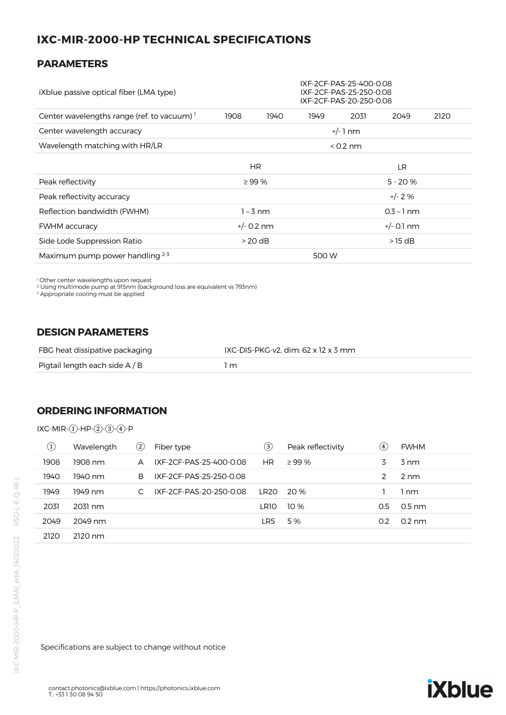## **IXC-MIR-2000-HP TECHNICAL SPECIFICATIONS**

#### **PARAMETERS**

| iXblue passive optical fiber (LMA type)                | IXF-2CF-PAS-25-400-0.08<br>IXF-2CF-PAS-25-250-0.08<br>IXF-2CF-PAS-20-250-0.08 |      |       |           |          |      |
|--------------------------------------------------------|-------------------------------------------------------------------------------|------|-------|-----------|----------|------|
| Center wavelengths range (ref. to vacuum) <sup>1</sup> | 1908                                                                          | 1940 | 1949  | 2031      | 2049     | 2120 |
| Center wavelength accuracy                             | $+/-1$ nm                                                                     |      |       |           |          |      |
| Wavelength matching with HR/LR                         | $<$ 0.2 nm                                                                    |      |       |           |          |      |
|                                                        |                                                                               | HR.  |       |           | LR.      |      |
| Peak reflectivity                                      | $\geq$ 99 %                                                                   |      |       | $5 - 20%$ |          |      |
| Peak reflectivity accuracy                             |                                                                               |      |       |           | $+/- 2%$ |      |
| Reflection bandwidth (FWHM)                            | $1 - 3$ nm<br>$0.3 - 1$ nm                                                    |      |       |           |          |      |
| <b>FWHM</b> accuracy                                   | $+/- 0.2$ nm<br>$+/-$ 0.1 nm                                                  |      |       |           |          |      |
| Side Lode Suppression Ratio                            | $>20$ dB<br>$>15$ dB                                                          |      |       |           |          |      |
| Maximum pump power handling $2-3$                      |                                                                               |      | 500 W |           |          |      |

<sup>1</sup> Other center wavelengths upon request<br><sup>2</sup> Using multimode pump at 915nm (background loss are equivalent vs 793nm)

<sup>3</sup> Appropriate cooling must be applied

#### **DESIGN PARAMETERS**

| FBG heat dissipative packaging | IXC-DIS-PKG-v2, dim: 62 x 12 x 3 mm |
|--------------------------------|-------------------------------------|
| Pigtail length each side A / B | l m                                 |

#### **ORDERING INFORMATION**

IXC-MIR-①-HP-②-③-④-P

| $\odot$ | Wavelength | $\rm(2)$ | Fiber type              | $\left( 3\right)$ | Peak reflectivity | (4) | <b>FWHM</b>      |
|---------|------------|----------|-------------------------|-------------------|-------------------|-----|------------------|
| 1908    | 1908 nm    | A        | IXF-2CF-PAS-25-400-0.08 | <b>HR</b>         | $\geq$ 99 %       | 3   | 3 nm             |
| 1940    | 1940 nm    | B.       | IXF-2CF-PAS-25-250-0.08 |                   |                   | 2   | $2 \text{ nm}$   |
| 1949    | 1949 nm    |          | IXF-2CF-PAS-20-250-0.08 | LR20              | 20 %              |     | 1 nm             |
| 2031    | 2031 nm    |          |                         | LR10              | 10%               | 0.5 | $0.5$ nm         |
| 2049    | 2049 nm    |          |                         | LR5               | 5 %               | 0.2 | $0.2 \text{ nm}$ |
| 2120    | 2120 nm    |          |                         |                   |                   |     |                  |

Specifications are subject to change without notice